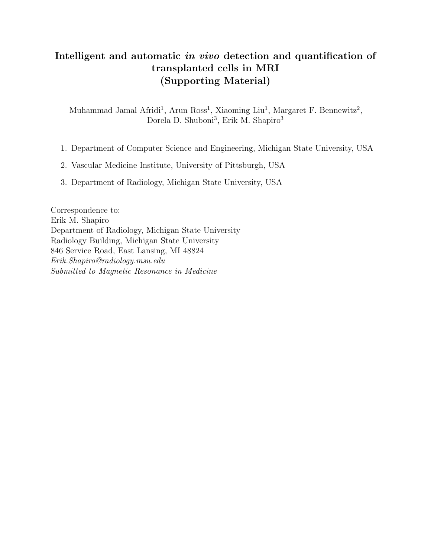### Intelligent and automatic in vivo detection and quantification of transplanted cells in MRI (Supporting Material)

Muhammad Jamal Afridi<sup>1</sup>, Arun Ross<sup>1</sup>, Xiaoming Liu<sup>1</sup>, Margaret F. Bennewitz<sup>2</sup>, Dorela D. Shuboni<sup>3</sup>, Erik M. Shapiro<sup>3</sup>

- 1. Department of Computer Science and Engineering, Michigan State University, USA
- 2. Vascular Medicine Institute, University of Pittsburgh, USA
- 3. Department of Radiology, Michigan State University, USA

Correspondence to: Erik M. Shapiro Department of Radiology, Michigan State University Radiology Building, Michigan State University 846 Service Road, East Lansing, MI 48824 Erik.Shapiro@radiology.msu.edu Submitted to Magnetic Resonance in Medicine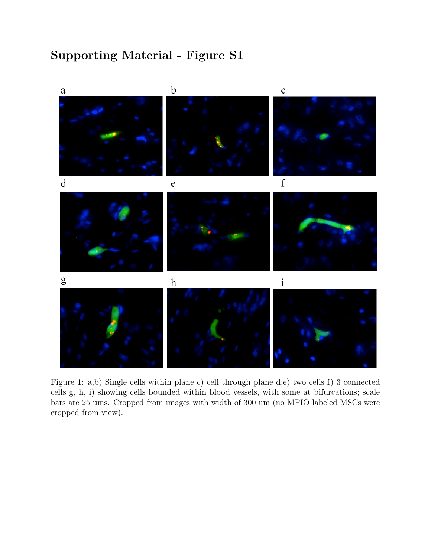

Figure 1: a,b) Single cells within plane c) cell through plane d,e) two cells f) 3 connected cells g, h, i) showing cells bounded within blood vessels, with some at bifurcations; scale bars are 25 ums. Cropped from images with width of 300 um (no MPIO labeled MSCs were cropped from view).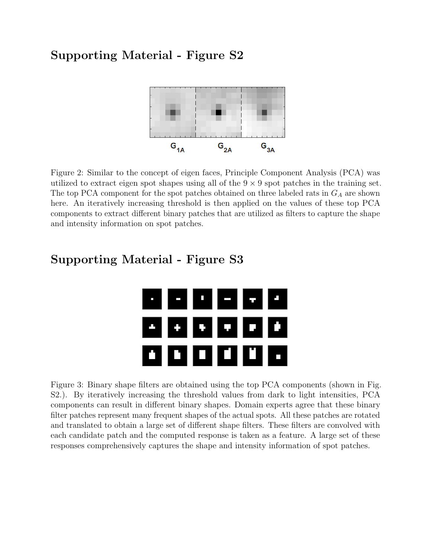

Figure 2: Similar to the concept of eigen faces, Principle Component Analysis (PCA) was utilized to extract eigen spot shapes using all of the  $9 \times 9$  spot patches in the training set. The top PCA component for the spot patches obtained on three labeled rats in  $G_A$  are shown here. An iteratively increasing threshold is then applied on the values of these top PCA components to extract different binary patches that are utilized as filters to capture the shape and intensity information on spot patches.

# o ji e۱ ГJ I œН O H 0 O O

Supporting Material - Figure S3

Figure 3: Binary shape filters are obtained using the top PCA components (shown in Fig. S2.). By iteratively increasing the threshold values from dark to light intensities, PCA components can result in different binary shapes. Domain experts agree that these binary filter patches represent many frequent shapes of the actual spots. All these patches are rotated and translated to obtain a large set of different shape filters. These filters are convolved with each candidate patch and the computed response is taken as a feature. A large set of these responses comprehensively captures the shape and intensity information of spot patches.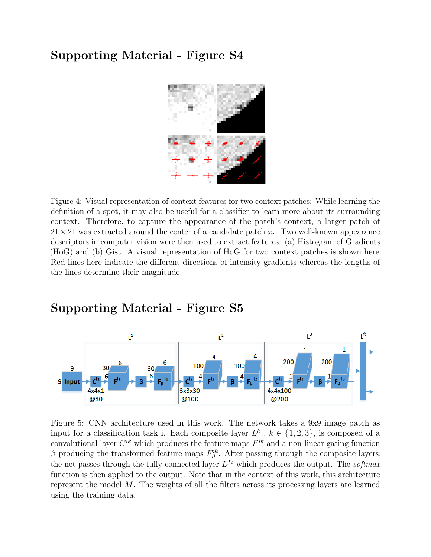

Figure 4: Visual representation of context features for two context patches: While learning the definition of a spot, it may also be useful for a classifier to learn more about its surrounding context. Therefore, to capture the appearance of the patch's context, a larger patch of  $21 \times 21$  was extracted around the center of a candidate patch  $x_i$ . Two well-known appearance descriptors in computer vision were then used to extract features: (a) Histogram of Gradients (HoG) and (b) Gist. A visual representation of HoG for two context patches is shown here. Red lines here indicate the different directions of intensity gradients whereas the lengths of the lines determine their magnitude.

### Supporting Material - Figure S5



Figure 5: CNN architecture used in this work. The network takes a 9x9 image patch as input for a classification task i. Each composite layer  $L^k$ ,  $k \in \{1,2,3\}$ , is composed of a convolutional layer  $C^{ik}$  which produces the feature maps  $F^{ik}$  and a non-linear gating function β producing the transformed feature maps  $F_{\beta}^{ik}$ . After passing through the composite layers, the net passes through the fully connected layer  $L^{fc}$  which produces the output. The softmax function is then applied to the output. Note that in the context of this work, this architecture represent the model M. The weights of all the filters across its processing layers are learned using the training data.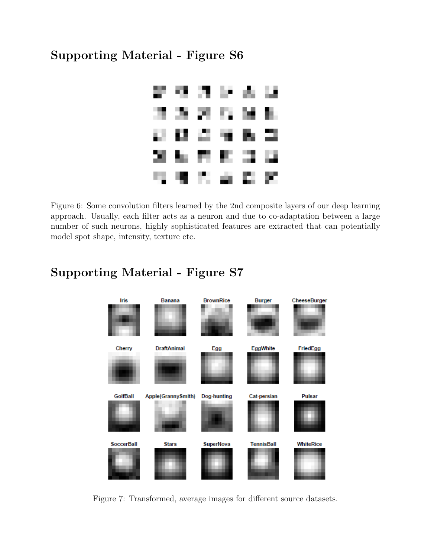

Figure 6: Some convolution filters learned by the 2nd composite layers of our deep learning approach. Usually, each filter acts as a neuron and due to co-adaptation between a large number of such neurons, highly sophisticated features are extracted that can potentially model spot shape, intensity, texture etc.

# Supporting Material - Figure S7



Figure 7: Transformed, average images for different source datasets.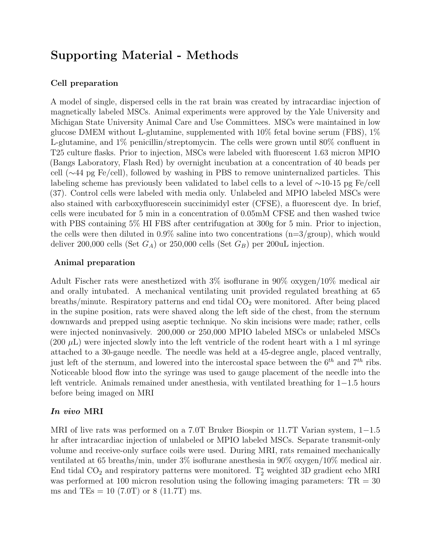## Supporting Material - Methods

#### Cell preparation

A model of single, dispersed cells in the rat brain was created by intracardiac injection of magnetically labeled MSCs. Animal experiments were approved by the Yale University and Michigan State University Animal Care and Use Committees. MSCs were maintained in low glucose DMEM without L-glutamine, supplemented with 10% fetal bovine serum (FBS), 1% L-glutamine, and 1% penicillin/streptomycin. The cells were grown until 80% confluent in T25 culture flasks. Prior to injection, MSCs were labeled with fluorescent 1.63 micron MPIO (Bangs Laboratory, Flash Red) by overnight incubation at a concentration of 40 beads per cell (∼44 pg Fe/cell), followed by washing in PBS to remove uninternalized particles. This labeling scheme has previously been validated to label cells to a level of ∼10-15 pg Fe/cell (37). Control cells were labeled with media only. Unlabeled and MPIO labeled MSCs were also stained with carboxyfluorescein succinimidyl ester (CFSE), a fluorescent dye. In brief, cells were incubated for 5 min in a concentration of 0.05mM CFSE and then washed twice with PBS containing 5% HI FBS after centrifugation at 300g for 5 min. Prior to injection, the cells were then diluted in  $0.9\%$  saline into two concentrations (n=3/group), which would deliver 200,000 cells (Set  $G_A$ ) or 250,000 cells (Set  $G_B$ ) per 200uL injection.

#### Animal preparation

Adult Fischer rats were anesthetized with 3% isoflurane in 90% oxygen/10% medical air and orally intubated. A mechanical ventilating unit provided regulated breathing at 65 breaths/minute. Respiratory patterns and end tidal  $CO<sub>2</sub>$  were monitored. After being placed in the supine position, rats were shaved along the left side of the chest, from the sternum downwards and prepped using aseptic technique. No skin incisions were made; rather, cells were injected noninvasively. 200,000 or 250,000 MPIO labeled MSCs or unlabeled MSCs  $(200 \mu L)$  were injected slowly into the left ventricle of the rodent heart with a 1 ml syringe attached to a 30-gauge needle. The needle was held at a 45-degree angle, placed ventrally, just left of the sternum, and lowered into the intercostal space between the  $6^{th}$  and  $7^{th}$  ribs. Noticeable blood flow into the syringe was used to gauge placement of the needle into the left ventricle. Animals remained under anesthesia, with ventilated breathing for 1−1.5 hours before being imaged on MRI

#### In vivo MRI

MRI of live rats was performed on a 7.0T Bruker Biospin or 11.7T Varian system, 1−1.5 hr after intracardiac injection of unlabeled or MPIO labeled MSCs. Separate transmit-only volume and receive-only surface coils were used. During MRI, rats remained mechanically ventilated at 65 breaths/min, under 3% isoflurane anesthesia in 90% oxygen/10% medical air. End tidal  $CO<sub>2</sub>$  and respiratory patterns were monitored.  $T_2^*$  weighted 3D gradient echo MRI was performed at 100 micron resolution using the following imaging parameters:  $TR = 30$ ms and TEs = 10 (7.0T) or 8 (11.7T) ms.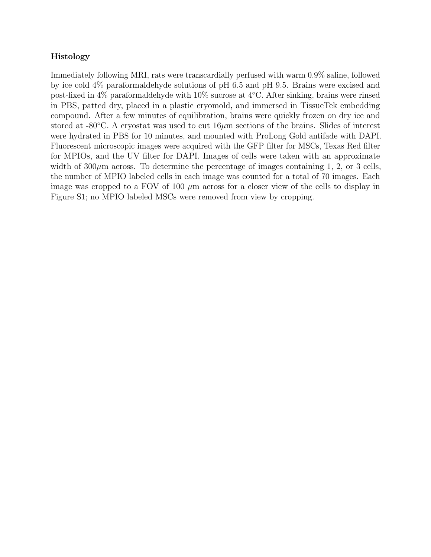#### Histology

Immediately following MRI, rats were transcardially perfused with warm 0.9% saline, followed by ice cold 4% paraformaldehyde solutions of pH 6.5 and pH 9.5. Brains were excised and post-fixed in 4% paraformaldehyde with 10% sucrose at 4◦C. After sinking, brains were rinsed in PBS, patted dry, placed in a plastic cryomold, and immersed in TissueTek embedding compound. After a few minutes of equilibration, brains were quickly frozen on dry ice and stored at -80 $°C$ . A cryostat was used to cut  $16\mu m$  sections of the brains. Slides of interest were hydrated in PBS for 10 minutes, and mounted with ProLong Gold antifade with DAPI. Fluorescent microscopic images were acquired with the GFP filter for MSCs, Texas Red filter for MPIOs, and the UV filter for DAPI. Images of cells were taken with an approximate width of  $300\mu$ m across. To determine the percentage of images containing 1, 2, or 3 cells, the number of MPIO labeled cells in each image was counted for a total of 70 images. Each image was cropped to a FOV of 100  $\mu$ m across for a closer view of the cells to display in Figure S1; no MPIO labeled MSCs were removed from view by cropping.